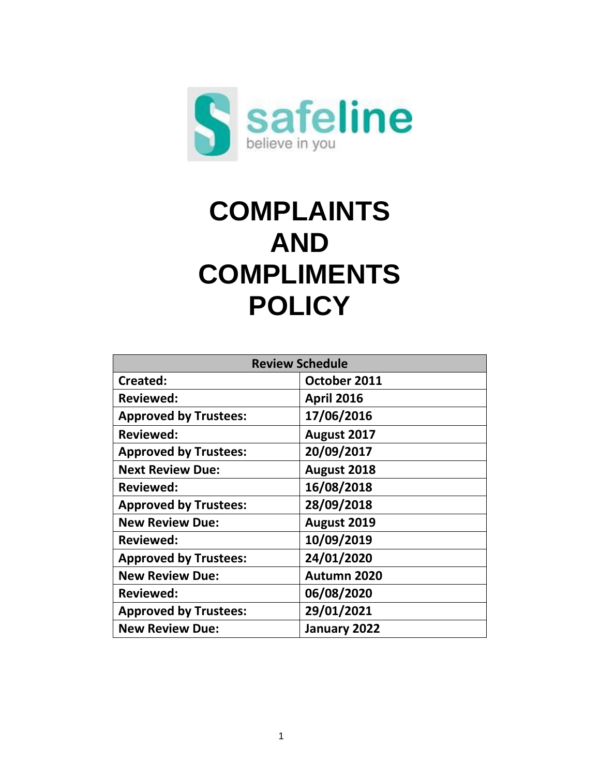

# **COMPLAINTS AND COMPLIMENTS POLICY**

| <b>Review Schedule</b>       |                   |  |
|------------------------------|-------------------|--|
| Created:                     | October 2011      |  |
| <b>Reviewed:</b>             | <b>April 2016</b> |  |
| <b>Approved by Trustees:</b> | 17/06/2016        |  |
| <b>Reviewed:</b>             | August 2017       |  |
| <b>Approved by Trustees:</b> | 20/09/2017        |  |
| <b>Next Review Due:</b>      | August 2018       |  |
| Reviewed:                    | 16/08/2018        |  |
| <b>Approved by Trustees:</b> | 28/09/2018        |  |
| <b>New Review Due:</b>       | August 2019       |  |
| <b>Reviewed:</b>             | 10/09/2019        |  |
| <b>Approved by Trustees:</b> | 24/01/2020        |  |
| <b>New Review Due:</b>       | Autumn 2020       |  |
| <b>Reviewed:</b>             | 06/08/2020        |  |
| <b>Approved by Trustees:</b> | 29/01/2021        |  |
| <b>New Review Due:</b>       | January 2022      |  |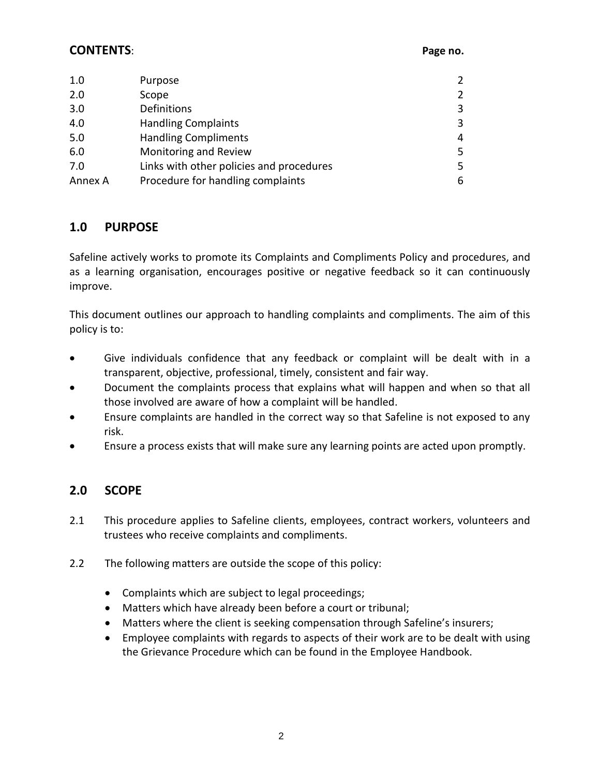#### **CONTENTS**: **Page no.**

| 1.0     | Purpose                                  | 2              |
|---------|------------------------------------------|----------------|
| 2.0     | Scope                                    | $\overline{2}$ |
| 3.0     | Definitions                              | 3              |
| 4.0     | <b>Handling Complaints</b>               | 3              |
| 5.0     | <b>Handling Compliments</b>              | 4              |
| 6.0     | Monitoring and Review                    | 5              |
| 7.0     | Links with other policies and procedures | 5              |
| Annex A | Procedure for handling complaints        | 6              |
|         |                                          |                |

# **1.0 PURPOSE**

Safeline actively works to promote its Complaints and Compliments Policy and procedures, and as a learning organisation, encourages positive or negative feedback so it can continuously improve.

This document outlines our approach to handling complaints and compliments. The aim of this policy is to:

- Give individuals confidence that any feedback or complaint will be dealt with in a transparent, objective, professional, timely, consistent and fair way.
- Document the complaints process that explains what will happen and when so that all those involved are aware of how a complaint will be handled.
- Ensure complaints are handled in the correct way so that Safeline is not exposed to any risk.
- Ensure a process exists that will make sure any learning points are acted upon promptly.

# **2.0 SCOPE**

- 2.1 This procedure applies to Safeline clients, employees, contract workers, volunteers and trustees who receive complaints and compliments.
- 2.2 The following matters are outside the scope of this policy:
	- Complaints which are subject to legal proceedings;
	- Matters which have already been before a court or tribunal;
	- Matters where the client is seeking compensation through Safeline's insurers;
	- Employee complaints with regards to aspects of their work are to be dealt with using the Grievance Procedure which can be found in the Employee Handbook.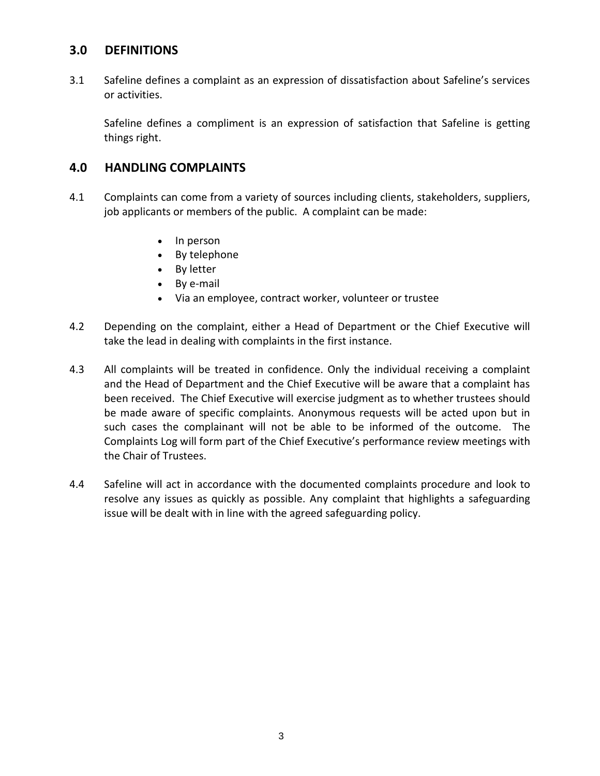## **3.0 DEFINITIONS**

3.1 Safeline defines a complaint as an expression of dissatisfaction about Safeline's services or activities.

Safeline defines a compliment is an expression of satisfaction that Safeline is getting things right.

#### **4.0 HANDLING COMPLAINTS**

- 4.1 Complaints can come from a variety of sources including clients, stakeholders, suppliers, job applicants or members of the public. A complaint can be made:
	- In person
	- By telephone
	- By letter
	- By e-mail
	- Via an employee, contract worker, volunteer or trustee
- 4.2 Depending on the complaint, either a Head of Department or the Chief Executive will take the lead in dealing with complaints in the first instance.
- 4.3 All complaints will be treated in confidence. Only the individual receiving a complaint and the Head of Department and the Chief Executive will be aware that a complaint has been received. The Chief Executive will exercise judgment as to whether trustees should be made aware of specific complaints. Anonymous requests will be acted upon but in such cases the complainant will not be able to be informed of the outcome. The Complaints Log will form part of the Chief Executive's performance review meetings with the Chair of Trustees.
- 4.4 Safeline will act in accordance with the documented complaints procedure and look to resolve any issues as quickly as possible. Any complaint that highlights a safeguarding issue will be dealt with in line with the agreed safeguarding policy.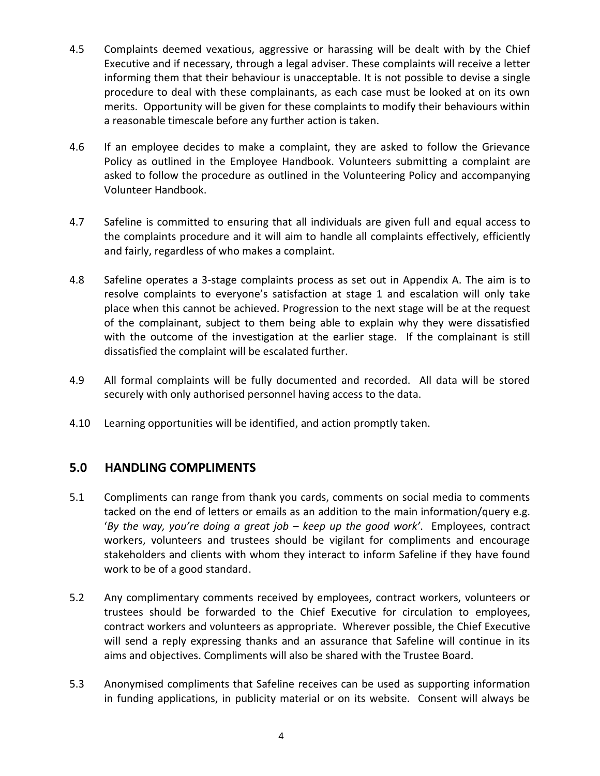- 4.5 Complaints deemed vexatious, aggressive or harassing will be dealt with by the Chief Executive and if necessary, through a legal adviser. These complaints will receive a letter informing them that their behaviour is unacceptable. It is not possible to devise a single procedure to deal with these complainants, as each case must be looked at on its own merits. Opportunity will be given for these complaints to modify their behaviours within a reasonable timescale before any further action is taken.
- 4.6 If an employee decides to make a complaint, they are asked to follow the Grievance Policy as outlined in the Employee Handbook. Volunteers submitting a complaint are asked to follow the procedure as outlined in the Volunteering Policy and accompanying Volunteer Handbook.
- 4.7 Safeline is committed to ensuring that all individuals are given full and equal access to the complaints procedure and it will aim to handle all complaints effectively, efficiently and fairly, regardless of who makes a complaint.
- 4.8 Safeline operates a 3-stage complaints process as set out in Appendix A. The aim is to resolve complaints to everyone's satisfaction at stage 1 and escalation will only take place when this cannot be achieved. Progression to the next stage will be at the request of the complainant, subject to them being able to explain why they were dissatisfied with the outcome of the investigation at the earlier stage. If the complainant is still dissatisfied the complaint will be escalated further.
- 4.9 All formal complaints will be fully documented and recorded. All data will be stored securely with only authorised personnel having access to the data.
- 4.10 Learning opportunities will be identified, and action promptly taken.

# **5.0 HANDLING COMPLIMENTS**

- 5.1 Compliments can range from thank you cards, comments on social media to comments tacked on the end of letters or emails as an addition to the main information/query e.g. '*By the way, you're doing a great job – keep up the good work'*. Employees, contract workers, volunteers and trustees should be vigilant for compliments and encourage stakeholders and clients with whom they interact to inform Safeline if they have found work to be of a good standard.
- 5.2 Any complimentary comments received by employees, contract workers, volunteers or trustees should be forwarded to the Chief Executive for circulation to employees, contract workers and volunteers as appropriate. Wherever possible, the Chief Executive will send a reply expressing thanks and an assurance that Safeline will continue in its aims and objectives. Compliments will also be shared with the Trustee Board.
- 5.3 Anonymised compliments that Safeline receives can be used as supporting information in funding applications, in publicity material or on its website. Consent will always be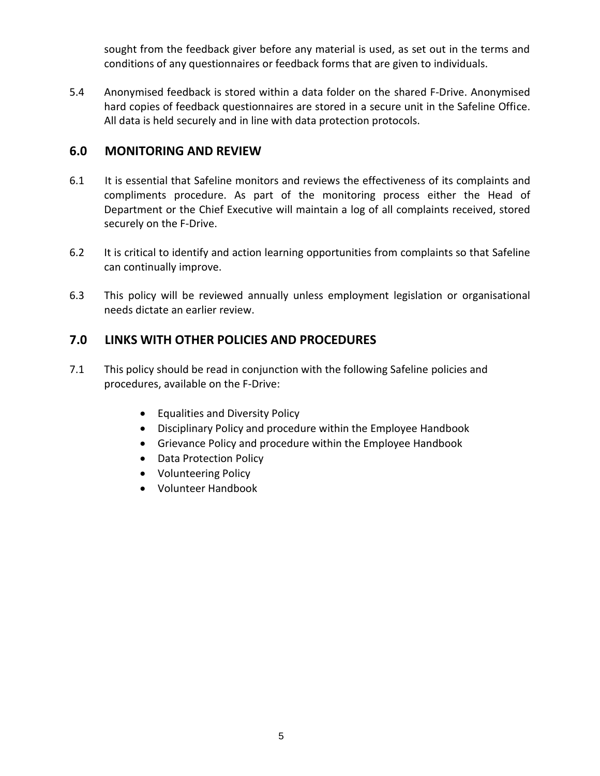sought from the feedback giver before any material is used, as set out in the terms and conditions of any questionnaires or feedback forms that are given to individuals.

5.4 Anonymised feedback is stored within a data folder on the shared F-Drive. Anonymised hard copies of feedback questionnaires are stored in a secure unit in the Safeline Office. All data is held securely and in line with data protection protocols.

# **6.0 MONITORING AND REVIEW**

- 6.1 It is essential that Safeline monitors and reviews the effectiveness of its complaints and compliments procedure. As part of the monitoring process either the Head of Department or the Chief Executive will maintain a log of all complaints received, stored securely on the F-Drive.
- 6.2 It is critical to identify and action learning opportunities from complaints so that Safeline can continually improve.
- 6.3 This policy will be reviewed annually unless employment legislation or organisational needs dictate an earlier review.

# **7.0 LINKS WITH OTHER POLICIES AND PROCEDURES**

- 7.1 This policy should be read in conjunction with the following Safeline policies and procedures, available on the F-Drive:
	- Equalities and Diversity Policy
	- Disciplinary Policy and procedure within the Employee Handbook
	- Grievance Policy and procedure within the Employee Handbook
	- Data Protection Policy
	- Volunteering Policy
	- Volunteer Handbook